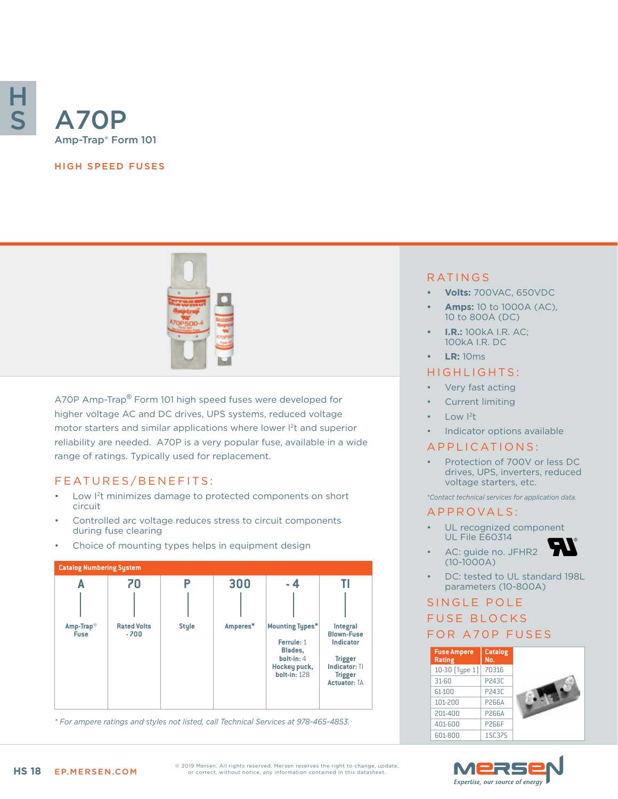

#### HIGH SPEED FUSES



A70P Amp-Trap® Form 101 high speed fuses were developed for higher voltage AC and DC drives, UPS systems, reduced voltage motor starters and similar applications where lower l<sup>2</sup>t and superior reliability are needed. A70P is a very popular fuse, available in a wide range of ratings. Typically used for replacement.

#### FEATURES/BENEFITS:

- Low I<sup>2</sup>t minimizes damage to protected components on short circuit
- Controlled arc voltage reduces stress to circuit components during fuse clearing
- Choice of mounting types helps in equipment design



*\* For ampere ratings and styles not listed, call Technical Services at 978-465-4853.*

### RATINGS

- **• Volts:** 700VAC, 650VDC
- **• Amps:** 10 to 1000A (AC), 10 to 800A (DC)
- **• I.R.:** 100kA I.R. AC; 100kA I.R. DC
- **• LR:** 10ms

### HIGHLIGHTS:

- Very fast acting
- Current limiting
- Low  $|^{2}t$
- Indicator options available

#### APPLICATIONS:

• Protection of 700V or less DC drives, UPS, inverters, reduced voltage starters, etc.

*\*Contact technical services for application data.*

#### A P P R OVA L S :

- UL recognized component UL File E60314
- AC: guide no. JFHR2 (10-1000A)
- DC: tested to UL standard 198L parameters (10-800A)

# SINGLE POLE FUSE BLOCKS FOR A70P FUSES

| <b>Fuse Ampere</b><br><b>Rating</b> | <b>Catalog</b><br>No. |  |
|-------------------------------------|-----------------------|--|
| 10-30 (Type 1)                      | 70316                 |  |
| $31 - 60$                           | P243C                 |  |
| 61-100                              | P243C                 |  |
| 101-200                             | P266A                 |  |
| 201-400                             | P266A                 |  |
| 401-600                             | <b>P266F</b>          |  |
| 601-800                             | 1SC375                |  |



© 2019 Mersen. All rights reserved. Mersen reserves the right to change, update, or correct, without notice, any information contained in this datasheet.